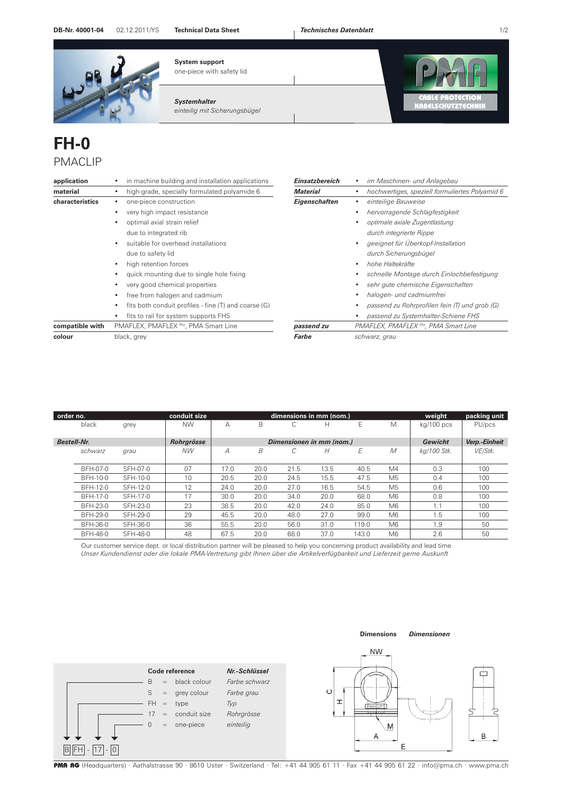**System support**

## **DB-Nr. 40001-04** 02.12.2011/YS 1/2 **Technical Data Sheet** *Technisches Datenblatt*



one-piece with safety lid

*Systemhalter einteilig mit Sicherungsbügel* 



## **FH-0**  PMACLIP

| application     | in machine building and installation applications    | Einsatzbereich       | im Maschinen- und Anlagebau                      |
|-----------------|------------------------------------------------------|----------------------|--------------------------------------------------|
| material        | high-grade, specially formulated polyamide 6         | <b>Material</b>      | hochwertiges, speziell formuliertes Polyamid 6   |
| characteristics | one-piece construction                               | <b>Eigenschaften</b> | einteilige Bauweise                              |
|                 | very high impact resistance                          |                      | hervorragende Schlagfestigkeit                   |
|                 | optimal axial strain relief                          |                      | optimale axiale Zugentlastung                    |
|                 | due to integrated rib                                |                      | durch integrierte Rippe                          |
|                 | suitable for overhead installations                  |                      | geeignet für Überkopf-Installation               |
|                 | due to safety lid                                    |                      | durch Sicherungsbügel                            |
|                 | high retention forces<br>$\bullet$                   |                      | hohe Haltekräfte                                 |
|                 | quick mounting due to single hole fixing             |                      | schnelle Montage durch Einlochbefestigung        |
|                 | very good chemical properties                        |                      | sehr gute chemische Eigenschaften                |
|                 | free from halogen and cadmium                        |                      | halogen- und cadmiumfrei                         |
|                 | fits both conduit profiles - fine (T) and coarse (G) |                      | passend zu Rohrprofilen fein (T) und grob (G)    |
|                 | fits to rail for system supports FHS                 |                      | passend zu Systemhalter-Schiene FHS              |
| compatible with | PMAFLEX, PMAFLEX Pro, PMA Smart Line                 | passend zu           | PMAFLEX, PMAFLEX <sup>Pro</sup> , PMA Smart Line |
| colour          | black, grey                                          | Farbe                | schwarz, grau                                    |

| order no.          |          |          | conduit size |                          |      |                 | dimensions in mm (nom.) |       |                | weight        | packing unit |
|--------------------|----------|----------|--------------|--------------------------|------|-----------------|-------------------------|-------|----------------|---------------|--------------|
|                    | black    | grey     | <b>NW</b>    | А                        | B    | C               | н                       | Ε     | M              | $kq/100$ pcs  | PU/pcs       |
|                    |          |          |              |                          |      |                 |                         |       |                |               |              |
| <b>Bestell-Nr.</b> |          |          | Rohrgrösse   | Dimensionen in mm (nom.) |      |                 |                         |       | Gewicht        | Verp.-Einheit |              |
|                    | schwarz  | grau     | <b>NW</b>    | $\overline{A}$           | B    | $\sqrt{2}$<br>Ċ | Н                       | E     | M              | ka/100 Stk.   | VE/Stk.      |
|                    |          |          |              |                          |      |                 |                         |       |                |               |              |
|                    | BFH-07-0 | SFH-07-0 | 07           | 17.0                     | 20.0 | 21.5            | 13.5                    | 40.5  | M4             | 0.3           | 100          |
|                    | BFH-10-0 | SFH-10-0 | 10           | 20.5                     | 20.0 | 24.5            | 15.5                    | 47.5  | M <sub>5</sub> | 0.4           | 100          |
|                    | BFH-12-0 | SFH-12-0 | 12           | 24.0                     | 20.0 | 27.0            | 16.5                    | 54.5  | M <sub>5</sub> | 0.6           | 100          |
|                    | BFH-17-0 | SFH-17-0 | 17           | 30.0                     | 20.0 | 34.0            | 20.0                    | 68.0  | M <sub>6</sub> | 0.8           | 100          |
|                    | BFH-23-0 | SFH-23-0 | 23           | 38.5                     | 20.0 | 42.0            | 24.0                    | 85.0  | M <sub>6</sub> | 1.1           | 100          |
|                    | BFH-29-0 | SFH-29-0 | 29           | 45.5                     | 20.0 | 48.0            | 27.0                    | 99.0  | M <sub>6</sub> | 1.5           | 100          |
|                    | BFH-36-0 | SFH-36-0 | 36           | 55.5                     | 20.0 | 56.0            | 31.0                    | 119.0 | M <sub>6</sub> | 1.9           | 50           |
|                    | BFH-48-0 | SFH-48-0 | 48           | 67.5                     | 20.0 | 68.0            | 37.0                    | 143.0 | M <sub>6</sub> | 2.6           | 50           |

Our customer service dept. or local distribution partner will be pleased to help you concerning product availability and lead time *Unser Kundendienst oder die lokale PMA-Vertretung gibt Ihnen über die Artikelverfügbarkeit und Lieferzeit gerne Auskunft*



PMA AG (Headquarters) · Aathalstrasse 90 · 8610 Uster · Switzerland · Tel: +41 44 905 61 11 · Fax +41 44 905 61 22 · info@pma.ch · www.pma.ch